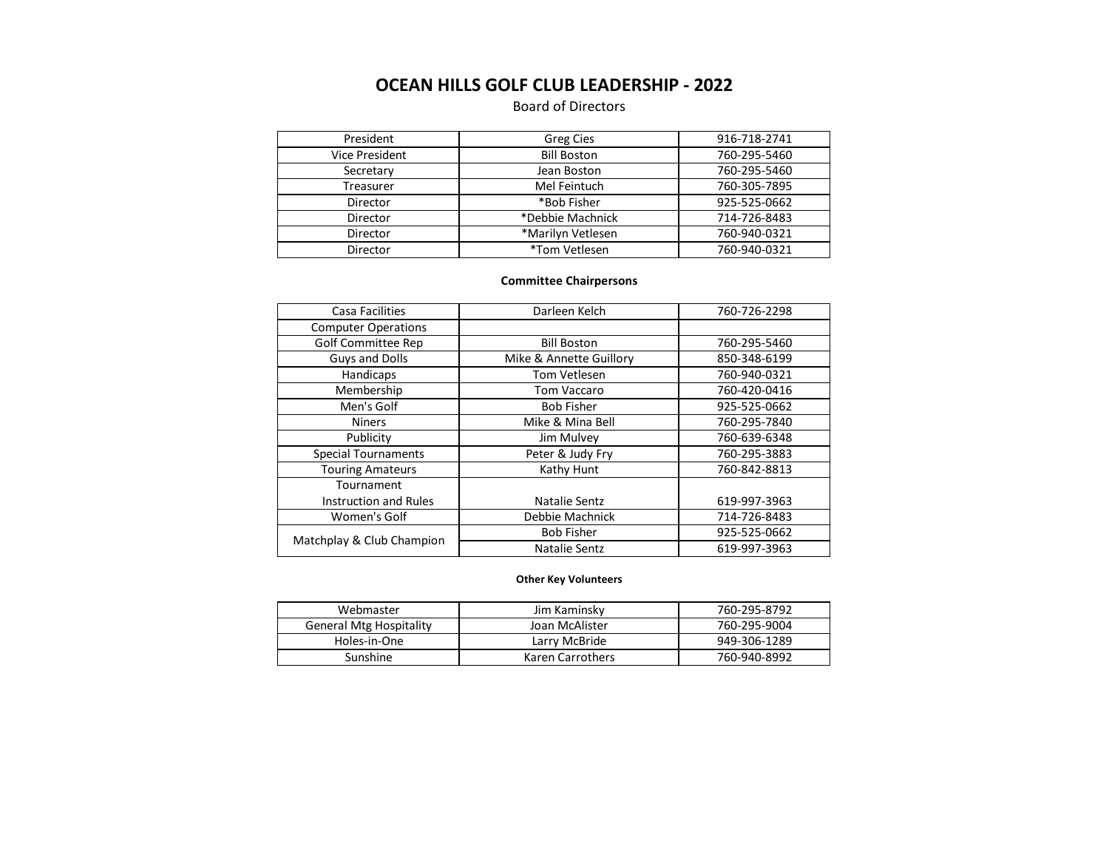# **OCEAN HILLS GOLF CLUB LEADERSHIP - 2022**

# Board of Directors

| President      | Greg Cies          | 916-718-2741 |
|----------------|--------------------|--------------|
| Vice President | <b>Bill Boston</b> | 760-295-5460 |
| Secretary      | Jean Boston        | 760-295-5460 |
| Treasurer      | Mel Feintuch       | 760-305-7895 |
| Director       | *Bob Fisher        | 925-525-0662 |
| Director       | *Debbie Machnick   | 714-726-8483 |
| Director       | *Marilyn Vetlesen  | 760-940-0321 |
| Director       | *Tom Vetlesen      | 760-940-0321 |

## **Committee Chairpersons**

|  | Casa Facilities            | Darleen Kelch           | 760-726-2298 |
|--|----------------------------|-------------------------|--------------|
|  | <b>Computer Operations</b> |                         |              |
|  | <b>Golf Committee Rep</b>  | <b>Bill Boston</b>      | 760-295-5460 |
|  | <b>Guys and Dolls</b>      | Mike & Annette Guillory | 850-348-6199 |
|  | Handicaps                  | Tom Vetlesen            | 760-940-0321 |
|  | Membership                 | Tom Vaccaro             | 760-420-0416 |
|  | Men's Golf                 | <b>Bob Fisher</b>       | 925-525-0662 |
|  | <b>Niners</b>              | Mike & Mina Bell        | 760-295-7840 |
|  | Publicity                  | Jim Mulvey              | 760-639-6348 |
|  | <b>Special Tournaments</b> | Peter & Judy Fry        | 760-295-3883 |
|  | <b>Touring Amateurs</b>    | Kathy Hunt              | 760-842-8813 |
|  | Tournament                 |                         |              |
|  | Instruction and Rules      | Natalie Sentz           | 619-997-3963 |
|  | Women's Golf               | Debbie Machnick         | 714-726-8483 |
|  | Matchplay & Club Champion  | <b>Bob Fisher</b>       | 925-525-0662 |
|  |                            | Natalie Sentz           | 619-997-3963 |
|  |                            |                         |              |

#### **Other Key Volunteers**

| Webmaster                      | Jim Kaminsky     | 760-295-8792 |
|--------------------------------|------------------|--------------|
| <b>General Mtg Hospitality</b> | Joan McAlister   | 760-295-9004 |
| Holes-in-One                   | Larry McBride    | 949-306-1289 |
| Sunshine                       | Karen Carrothers | 760-940-8992 |